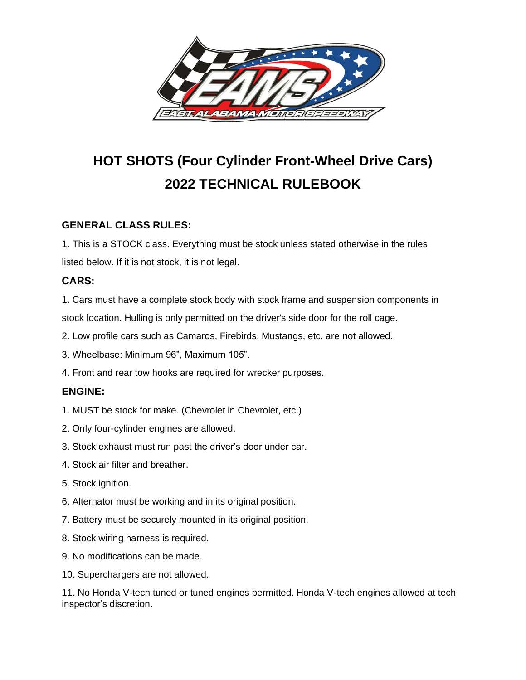

# **HOT SHOTS (Four Cylinder Front-Wheel Drive Cars) 2022 TECHNICAL RULEBOOK**

# **GENERAL CLASS RULES:**

1. This is a STOCK class. Everything must be stock unless stated otherwise in the rules listed below. If it is not stock, it is not legal.

# **CARS:**

1. Cars must have a complete stock body with stock frame and suspension components in stock location. Hulling is only permitted on the driver's side door for the roll cage.

2. Low profile cars such as Camaros, Firebirds, Mustangs, etc. are not allowed.

3. Wheelbase: Minimum 96", Maximum 105".

4. Front and rear tow hooks are required for wrecker purposes.

# **ENGINE:**

- 1. MUST be stock for make. (Chevrolet in Chevrolet, etc.)
- 2. Only four-cylinder engines are allowed.
- 3. Stock exhaust must run past the driver's door under car.
- 4. Stock air filter and breather.
- 5. Stock ignition.
- 6. Alternator must be working and in its original position.
- 7. Battery must be securely mounted in its original position.
- 8. Stock wiring harness is required.
- 9. No modifications can be made.
- 10. Superchargers are not allowed.

11. No Honda V-tech tuned or tuned engines permitted. Honda V-tech engines allowed at tech inspector's discretion.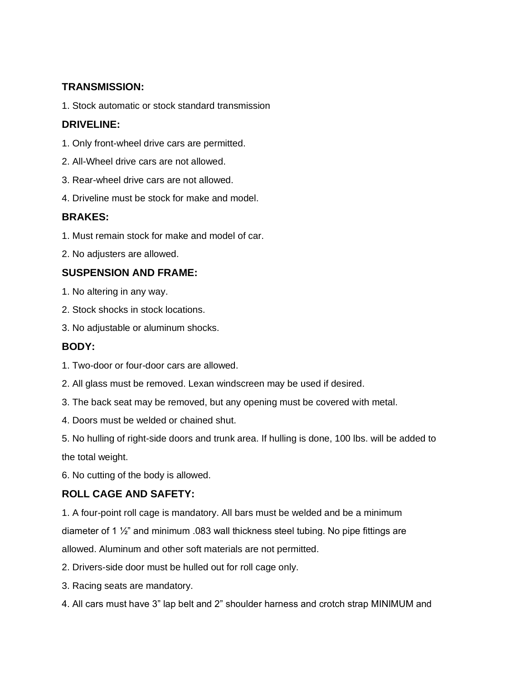## **TRANSMISSION:**

1. Stock automatic or stock standard transmission

## **DRIVELINE:**

- 1. Only front-wheel drive cars are permitted.
- 2. All-Wheel drive cars are not allowed.
- 3. Rear-wheel drive cars are not allowed.
- 4. Driveline must be stock for make and model.

## **BRAKES:**

- 1. Must remain stock for make and model of car.
- 2. No adjusters are allowed.

## **SUSPENSION AND FRAME:**

- 1. No altering in any way.
- 2. Stock shocks in stock locations.
- 3. No adjustable or aluminum shocks.

# **BODY:**

- 1. Two-door or four-door cars are allowed.
- 2. All glass must be removed. Lexan windscreen may be used if desired.
- 3. The back seat may be removed, but any opening must be covered with metal.
- 4. Doors must be welded or chained shut.

5. No hulling of right-side doors and trunk area. If hulling is done, 100 lbs. will be added to the total weight.

6. No cutting of the body is allowed.

#### **ROLL CAGE AND SAFETY:**

1. A four-point roll cage is mandatory. All bars must be welded and be a minimum diameter of 1 ½" and minimum .083 wall thickness steel tubing. No pipe fittings are allowed. Aluminum and other soft materials are not permitted.

- 2. Drivers-side door must be hulled out for roll cage only.
- 3. Racing seats are mandatory.
- 4. All cars must have 3" lap belt and 2" shoulder harness and crotch strap MINIMUM and